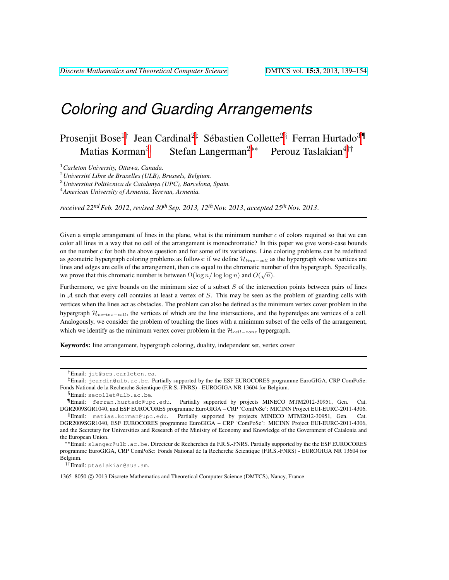Prosenjit Bose<sup>1†</sup> Jean Cardinal<sup>2‡</sup> Sébastien Collette<sup>2§</sup> Ferran Hurtado<sup>3¶</sup> Matias Korman<sup>3||</sup> Stefan Langerman<sup>2∗∗</sup> Perouz Taslakian<sup>4††</sup>

<sup>1</sup>*Carleton University, Ottawa, Canada.*

<sup>2</sup>*Universite Libre de Bruxelles (ULB), Brussels, Belgium. ´*

<sup>3</sup>*Universitat Politecnica de Catalunya (UPC), Barcelona, Spain. `*

<sup>4</sup>*American University of Armenia, Yerevan, Armenia.*

*received 22ndFeb. 2012*, *revised 30th Sep. 2013, 12thNov. 2013*, *accepted 25thNov. 2013*.

Given a simple arrangement of lines in the plane, what is the minimum number  $c$  of colors required so that we can color all lines in a way that no cell of the arrangement is monochromatic? In this paper we give worst-case bounds on the number c for both the above question and for some of its variations. Line coloring problems can be redefined as geometric hypergraph coloring problems as follows: if we define  $\mathcal{H}_{line-cell}$  as the hypergraph whose vertices are lines and edges are cells of the arrangement, then c is equal to the chromatic number of this hypergraph. Specifically, we prove that this chromatic number is between  $\Omega(\log n / \log \log n)$  and  $O(\sqrt{n})$ .

Furthermore, we give bounds on the minimum size of a subset  $S$  of the intersection points between pairs of lines in A such that every cell contains at least a vertex of S. This may be seen as the problem of guarding cells with vertices when the lines act as obstacles. The problem can also be defined as the minimum vertex cover problem in the hypergraph  $\mathcal{H}_{vertex-cell}$ , the vertices of which are the line intersections, and the hyperedges are vertices of a cell. Analogously, we consider the problem of touching the lines with a minimum subset of the cells of the arrangement, which we identify as the minimum vertex cover problem in the  $\mathcal{H}_{cell-zone}$  hypergraph.

Keywords: line arrangement, hypergraph coloring, duality, independent set, vertex cover

1365–8050 (C) 2013 Discrete Mathematics and Theoretical Computer Science (DMTCS), Nancy, France

<sup>†</sup>Email: jit@scs.carleton.ca.

<sup>‡</sup>Email: jcardin@ulb.ac.be. Partially supported by the the ESF EUROCORES programme EuroGIGA, CRP ComPoSe: Fonds National de la Recherche Scientique (F.R.S.-FNRS) - EUROGIGA NR 13604 for Belgium.

<sup>§</sup>Email: secollet@ulb.ac.be.

<sup>¶</sup>Email: ferran.hurtado@upc.edu. Partially supported by projects MINECO MTM2012-30951, Gen. Cat. DGR2009SGR1040, and ESF EUROCORES programme EuroGIGA – CRP 'ComPoSe': MICINN Project EUI-EURC-2011-4306. <sup>k</sup>Email: matias.korman@upc.edu. Partially supported by projects MINECO MTM2012-30951, Gen. Cat. DGR2009SGR1040, ESF EUROCORES programme EuroGIGA – CRP 'ComPoSe': MICINN Project EUI-EURC-2011-4306, and the Secretary for Universities and Research of the Ministry of Economy and Knowledge of the Government of Catalonia and the European Union.

<sup>∗∗</sup>Email: slanger@ulb.ac.be. Directeur de Recherches du F.R.S.-FNRS. Partially supported by the the ESF EUROCORES programme EuroGIGA, CRP ComPoSe: Fonds National de la Recherche Scientique (F.R.S.-FNRS) - EUROGIGA NR 13604 for Belgium.

<sup>††</sup>Email: ptaslakian@aua.am.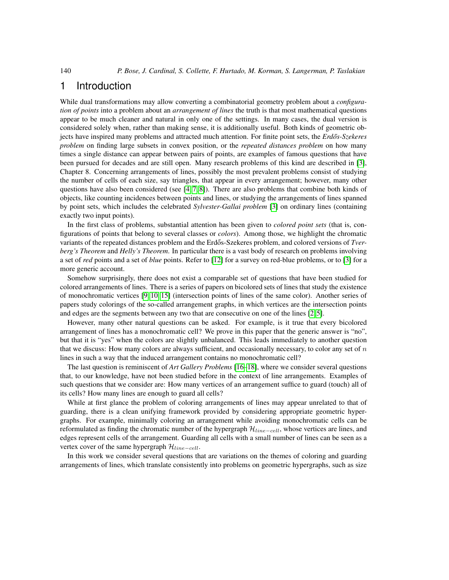### 1 Introduction

While dual transformations may allow converting a combinatorial geometry problem about a *configuration of points* into a problem about an *arrangement of lines* the truth is that most mathematical questions appear to be much cleaner and natural in only one of the settings. In many cases, the dual version is considered solely when, rather than making sense, it is additionally useful. Both kinds of geometric objects have inspired many problems and attracted much attention. For finite point sets, the *Erdős-Szekeres problem* on finding large subsets in convex position, or the *repeated distances problem* on how many times a single distance can appear between pairs of points, are examples of famous questions that have been pursued for decades and are still open. Many research problems of this kind are described in [\[3\]](#page-14-0), Chapter 8. Concerning arrangements of lines, possibly the most prevalent problems consist of studying the number of cells of each size, say triangles, that appear in every arrangement; however, many other questions have also been considered (see  $[4, 7, 8]$  $[4, 7, 8]$  $[4, 7, 8]$ ). There are also problems that combine both kinds of objects, like counting incidences between points and lines, or studying the arrangements of lines spanned by point sets, which includes the celebrated *Sylvester-Gallai problem* [\[3\]](#page-14-0) on ordinary lines (containing exactly two input points).

In the first class of problems, substantial attention has been given to *colored point sets* (that is, configurations of points that belong to several classes or *colors*). Among those, we highlight the chromatic variants of the repeated distances problem and the Erdős-Szekeres problem, and colored versions of *Tverberg's Theorem* and *Helly's Theorem*. In particular there is a vast body of research on problems involving a set of *red* points and a set of *blue* points. Refer to [\[12\]](#page-15-2) for a survey on red-blue problems, or to [\[3\]](#page-14-0) for a more generic account.

Somehow surprisingly, there does not exist a comparable set of questions that have been studied for colored arrangements of lines. There is a series of papers on bicolored sets of lines that study the existence of monochromatic vertices [\[9,](#page-15-3) [10,](#page-15-4) [15\]](#page-15-5) (intersection points of lines of the same color). Another series of papers study colorings of the so-called arrangement graphs, in which vertices are the intersection points and edges are the segments between any two that are consecutive on one of the lines [\[2,](#page-14-2) [5\]](#page-15-6).

However, many other natural questions can be asked. For example, is it true that every bicolored arrangement of lines has a monochromatic cell? We prove in this paper that the generic answer is "no", but that it is "yes" when the colors are slightly unbalanced. This leads immediately to another question that we discuss: How many colors are always sufficient, and occasionally necessary, to color any set of  $n$ lines in such a way that the induced arrangement contains no monochromatic cell?

The last question is reminiscent of *Art Gallery Problems* [\[16](#page-15-7)[–18\]](#page-15-8), where we consider several questions that, to our knowledge, have not been studied before in the context of line arrangements. Examples of such questions that we consider are: How many vertices of an arrangement suffice to guard (touch) all of its cells? How many lines are enough to guard all cells?

While at first glance the problem of coloring arrangements of lines may appear unrelated to that of guarding, there is a clean unifying framework provided by considering appropriate geometric hypergraphs. For example, minimally coloring an arrangement while avoiding monochromatic cells can be reformulated as finding the chromatic number of the hypergraph  $\mathcal{H}_{line-cell}$ , whose vertices are lines, and edges represent cells of the arrangement. Guarding all cells with a small number of lines can be seen as a vertex cover of the same hypergraph  $\mathcal{H}_{line-cell}$ .

In this work we consider several questions that are variations on the themes of coloring and guarding arrangements of lines, which translate consistently into problems on geometric hypergraphs, such as size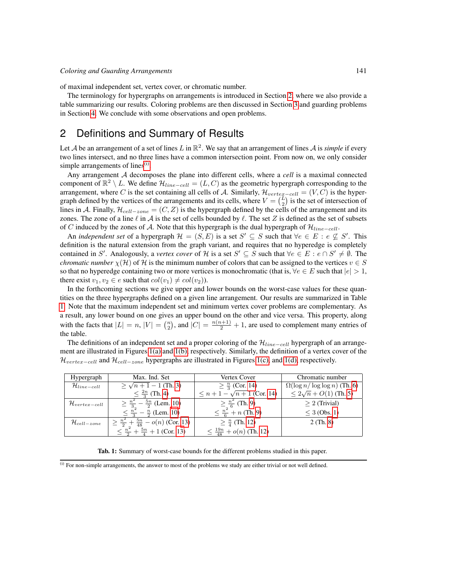of maximal independent set, vertex cover, or chromatic number.

The terminology for hypergraphs on arrangements is introduced in Section [2,](#page-2-0) where we also provide a table summarizing our results. Coloring problems are then discussed in Section [3](#page-4-0) and guarding problems in Section [4.](#page-11-0) We conclude with some observations and open problems.

### <span id="page-2-0"></span>2 Definitions and Summary of Results

Let A be an arrangement of a set of lines L in  $\mathbb{R}^2$ . We say that an arrangement of lines A is *simple* if every two lines intersect, and no three lines have a common intersection point. From now on, we only consider simple arrangements of lines $<sup>(i)</sup>$  $<sup>(i)</sup>$  $<sup>(i)</sup>$ .</sup>

Any arrangement A decomposes the plane into different cells, where a *cell* is a maximal connected component of  $\mathbb{R}^2 \setminus L$ . We define  $\mathcal{H}_{line-cell} = (L, C)$  as the geometric hypergraph corresponding to the arrangement, where C is the set containing all cells of A. Similarly,  $\mathcal{H}_{vertex-cell} = (V, C)$  is the hypergraph defined by the vertices of the arrangements and its cells, where  $V = \binom{L}{2}$  is the set of intersection of lines in A. Finally,  $\mathcal{H}_{cell-zone} = (C, Z)$  is the hypergraph defined by the cells of the arrangement and its zones. The zone of a line  $\ell$  in  $\mathcal A$  is the set of cells bounded by  $\ell$ . The set Z is defined as the set of subsets of C induced by the zones of A. Note that this hypergraph is the dual hypergraph of  $\mathcal{H}_{line-cell}$ .

An *independent set* of a hypergraph  $\mathcal{H} = (S, E)$  is a set  $S' \subseteq S$  such that  $\forall e \in E : e \nsubseteq S'$ . This definition is the natural extension from the graph variant, and requires that no hyperedge is completely contained in S'. Analogously, a *vertex cover* of H is a set  $S' \subseteq S$  such that  $\forall e \in E : e \cap S' \neq \emptyset$ . The *chromatic number*  $\chi(H)$  of H is the minimum number of colors that can be assigned to the vertices  $v \in S$ so that no hyperedge containing two or more vertices is monochromatic (that is,  $\forall e \in E$  such that  $|e| > 1$ , there exist  $v_1, v_2 \in e$  such that  $col(v_1) \neq col(v_2)$ ).

In the forthcoming sections we give upper and lower bounds on the worst-case values for these quantities on the three hypergraphs defined on a given line arrangement. Our results are summarized in Table [1.](#page-2-2) Note that the maximum independent set and minimum vertex cover problems are complementary. As a result, any lower bound on one gives an upper bound on the other and vice versa. This property, along with the facts that  $|L| = n$ ,  $|V| = \binom{n}{2}$ , and  $|C| = \frac{n(n+1)}{2} + 1$ , are used to complement many entries of the table.

The definitions of an independent set and a proper coloring of the  $\mathcal{H}_{line-cell}$  hypergraph of an arrangement are illustrated in Figures [1\(a\)](#page-3-0) and [1\(b\),](#page-3-1) respectively. Similarly, the definition of a vertex cover of the  $\mathcal{H}_{vertex-cell}$  and  $\mathcal{H}_{cell-zone}$  hypergraphs are illustrated in Figures [1\(c\),](#page-3-2) and [1\(d\),](#page-3-3) respectively.

| Hypergraph                  | Max. Ind. Set                                                  | Vertex Cover                          | Chromatic number                    |
|-----------------------------|----------------------------------------------------------------|---------------------------------------|-------------------------------------|
| $\mathcal{H}_{line-cell}$   | $\geq \sqrt{n+1} - 1$ (Th. 3)                                  | $\geq \frac{n}{3}$ (Cor. 14)          | $\Omega(\log n/\log\log n)$ (Th. 6) |
|                             | $\leq \frac{2n}{3}$ (Th. 4)                                    | $\leq n+1-\sqrt{n+1}$ (Cor. 14)       | $\leq 2\sqrt{n} + O(1)$ (Th. 5)     |
| $\mathcal{H}_{vertex-cell}$ | $\geq \frac{n^2}{3}$<br>$\frac{5n}{2}$ (Lem. 10)               | $\geq \frac{n^2}{6}$ (Th. 9)          | $> 2$ (Trivial)                     |
|                             | $\frac{n}{2}$ (Lem. 10)                                        | $\leq \frac{n^2}{6} + n$ (Th. 9)      | $<$ 3 (Obs. 1)                      |
| $\mathcal{H}_{cell-zone}$   | $+\frac{5n}{48}$<br>$\geq \frac{n^2}{2}$<br>$- o(n)$ (Cor. 13) | $\geq \frac{n}{4}$ (Th. 12)           | $2$ (Th. 8)                         |
|                             | $\frac{n^2}{2} + \frac{5n}{4} + 1$ (Cor. 13)                   | $\leq \frac{19n}{48} + o(n)$ (Th. 12) |                                     |

<span id="page-2-2"></span>Tab. 1: Summary of worst-case bounds for the different problems studied in this paper.

<span id="page-2-1"></span><sup>(</sup>i) For non-simple arrangements, the answer to most of the problems we study are either trivial or not well defined.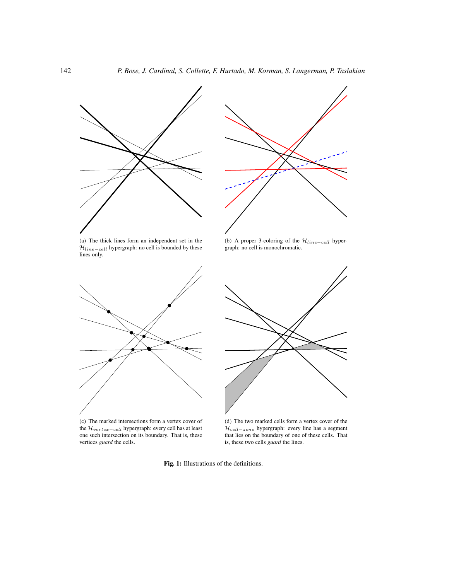<span id="page-3-0"></span>

(a) The thick lines form an independent set in the  $\mathcal{H}_{line-cell}$  hypergraph: no cell is bounded by these lines only.



<span id="page-3-2"></span>(c) The marked intersections form a vertex cover of the  $\mathcal{H}_{vertex-cell}$  hypergraph: every cell has at least one such intersection on its boundary. That is, these vertices *guard* the cells.



<span id="page-3-1"></span>(b) A proper 3-coloring of the  $\mathcal{H}_{line-cell}$  hypergraph: no cell is monochromatic.



<span id="page-3-3"></span>(d) The two marked cells form a vertex cover of the  $\mathcal{H}_{cell-zone}$  hypergraph: every line has a segment that lies on the boundary of one of these cells. That is, these two cells *guard* the lines.

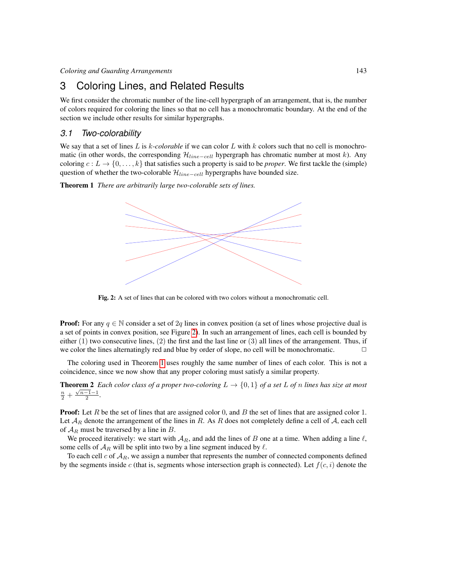### <span id="page-4-0"></span>3 Coloring Lines, and Related Results

We first consider the chromatic number of the line-cell hypergraph of an arrangement, that is, the number of colors required for coloring the lines so that no cell has a monochromatic boundary. At the end of the section we include other results for similar hypergraphs.

#### *3.1 Two-colorability*

We say that a set of lines L is k-colorable if we can color L with k colors such that no cell is monochromatic (in other words, the corresponding  $\mathcal{H}_{line-cell}$  hypergraph has chromatic number at most k). Any coloring  $c: L \to \{0, \ldots, k\}$  that satisfies such a property is said to be *proper*. We first tackle the (simple) question of whether the two-colorable  $\mathcal{H}_{line-cell}$  hypergraphs have bounded size.

<span id="page-4-2"></span>Theorem 1 *There are arbitrarily large two-colorable sets of lines.*



<span id="page-4-1"></span>Fig. 2: A set of lines that can be colored with two colors without a monochromatic cell.

**Proof:** For any  $q \in \mathbb{N}$  consider a set of 2q lines in convex position (a set of lines whose projective dual is a set of points in convex position, see Figure [2\)](#page-4-1). In such an arrangement of lines, each cell is bounded by either  $(1)$  two consecutive lines,  $(2)$  the first and the last line or  $(3)$  all lines of the arrangement. Thus, if we color the lines alternatingly red and blue by order of slope, no cell will be monochromatic.

The coloring used in Theorem [1](#page-4-2) uses roughly the same number of lines of each color. This is not a coincidence, since we now show that any proper coloring must satisfy a similar property.

**Theorem 2** *Each color class of a proper two-coloring*  $L \rightarrow \{0,1\}$  *of a set* L *of n lines has size at most*  $\frac{n}{2} + \frac{\sqrt{n-1}-1}{2}$ .

**Proof:** Let  $R$  be the set of lines that are assigned color  $0$ , and  $B$  the set of lines that are assigned color  $1$ . Let  $A_R$  denote the arrangement of the lines in R. As R does not completely define a cell of A, each cell of  $A_R$  must be traversed by a line in B.

We proceed iteratively: we start with  $A_R$ , and add the lines of B one at a time. When adding a line  $\ell$ , some cells of  $A_R$  will be split into two by a line segment induced by  $\ell$ .

To each cell c of  $A_R$ , we assign a number that represents the number of connected components defined by the segments inside c (that is, segments whose intersection graph is connected). Let  $f(c, i)$  denote the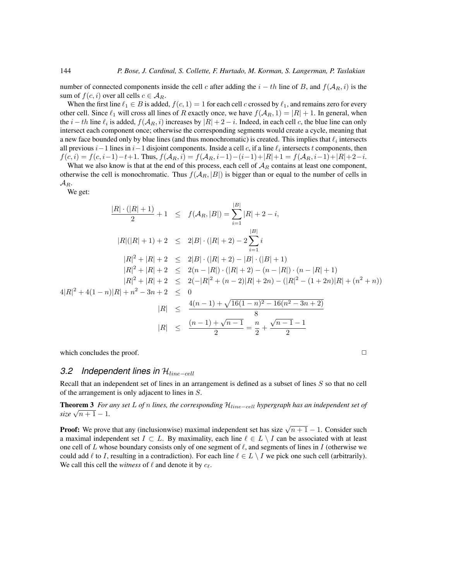number of connected components inside the cell c after adding the  $i - th$  line of B, and  $f(A_R, i)$  is the sum of  $f(c, i)$  over all cells  $c \in A_R$ .

When the first line  $\ell_1 \in B$  is added,  $f(c, 1) = 1$  for each cell c crossed by  $\ell_1$ , and remains zero for every other cell. Since  $\ell_1$  will cross all lines of R exactly once, we have  $f(\mathcal{A}_R, 1) = |R| + 1$ . In general, when the  $i - th$  line  $\ell_i$  is added,  $f(A_R, i)$  increases by  $|R| + 2 - i$ . Indeed, in each cell c, the blue line can only intersect each component once; otherwise the corresponding segments would create a cycle, meaning that a new face bounded only by blue lines (and thus monochromatic) is created. This implies that  $\ell_i$  intersects all previous  $i-1$  lines in  $i-1$  disjoint components. Inside a cell c, if a line  $\ell_i$  intersects t components, then  $f(c, i) = f(c, i-1)-t+1$ . Thus,  $f(\mathcal{A}_R, i) = f(\mathcal{A}_R, i-1) - (i-1)+|R|+1 = f(\mathcal{A}_R, i-1)+|R|+2-i$ .

What we also know is that at the end of this process, each cell of  $A_R$  contains at least one component, otherwise the cell is monochromatic. Thus  $f(A_R, |B|)$  is bigger than or equal to the number of cells in  $\mathcal{A}_R$ .

We get:

$$
\frac{|R| \cdot (|R|+1)}{2} + 1 \leq f(\mathcal{A}_R, |B|) = \sum_{i=1}^{|B|} |R| + 2 - i,
$$
  
\n
$$
|R|(|R|+1) + 2 \leq 2|B| \cdot (|R|+2) - 2 \sum_{i=1}^{|B|} i
$$
  
\n
$$
|R|^2 + |R| + 2 \leq 2|B| \cdot (|R|+2) - |B| \cdot (|B|+1)
$$
  
\n
$$
|R|^2 + |R| + 2 \leq 2(n - |R|) \cdot (|R|+2) - (n - |R|) \cdot (n - |R|+1)
$$
  
\n
$$
|R|^2 + |R| + 2 \leq 2(-|R|^2 + (n - 2)|R| + 2n) - (|R|^2 - (1 + 2n)|R| + (n^2 + n))
$$
  
\n
$$
4|R|^2 + 4(1 - n)|R| + n^2 - 3n + 2 \leq 0
$$
  
\n
$$
|R| \leq \frac{4(n - 1) + \sqrt{16(1 - n)^2 - 16(n^2 - 3n + 2)}}{8}
$$
  
\n
$$
|R| \leq \frac{(n - 1) + \sqrt{n - 1}}{2} = \frac{n}{2} + \frac{\sqrt{n - 1} - 1}{2}
$$

which concludes the proof.  $\Box$ 

#### *3.2* Independent lines in  $\mathcal{H}_{line-cell}$

Recall that an independent set of lines in an arrangement is defined as a subset of lines S so that no cell of the arrangement is only adjacent to lines in S.

<span id="page-5-0"></span>Theorem 3 *For any set* L *of* n *lines, the corresponding* Hline−cell *hypergraph has an independent set of* **i** *s size*  $\sqrt{n+1} - 1$ .

**Proof:** We prove that any (inclusionwise) maximal independent set has size  $\sqrt{n+1} - 1$ . Consider such a maximal independent set  $I \subset L$ . By maximality, each line  $\ell \in L \setminus I$  can be associated with at least one cell of L whose boundary consists only of one segment of  $\ell$ , and segments of lines in I (otherwise we could add  $\ell$  to I, resulting in a contradiction). For each line  $\ell \in L \setminus I$  we pick one such cell (arbitrarily). We call this cell the *witness* of  $\ell$  and denote it by  $c_{\ell}$ .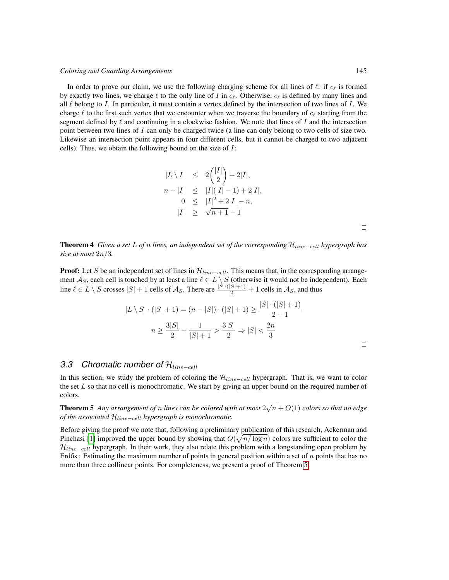In order to prove our claim, we use the following charging scheme for all lines of  $\ell$ : if  $c_{\ell}$  is formed by exactly two lines, we charge  $\ell$  to the only line of I in  $c_{\ell}$ . Otherwise,  $c_{\ell}$  is defined by many lines and all  $\ell$  belong to I. In particular, it must contain a vertex defined by the intersection of two lines of I. We charge  $\ell$  to the first such vertex that we encounter when we traverse the boundary of  $c_{\ell}$  starting from the segment defined by  $\ell$  and continuing in a clockwise fashion. We note that lines of I and the intersection point between two lines of  $I$  can only be charged twice (a line can only belong to two cells of size two. Likewise an intersection point appears in four different cells, but it cannot be charged to two adjacent cells). Thus, we obtain the following bound on the size of I:

$$
|L \setminus I| \le 2\binom{|I|}{2} + 2|I|,
$$
  
\n
$$
n - |I| \le |I|(|I| - 1) + 2|I|,
$$
  
\n
$$
0 \le |I|^2 + 2|I| - n,
$$
  
\n
$$
|I| \ge \sqrt{n+1} - 1
$$

 $\Box$ 

<span id="page-6-0"></span>Theorem 4 *Given a set* L *of* n *lines, an independent set of the corresponding* Hline−cell *hypergraph has size at most* 2n/3*.*

**Proof:** Let S be an independent set of lines in  $\mathcal{H}_{line-cell}$ . This means that, in the corresponding arrangement  $A_S$ , each cell is touched by at least a line  $\ell \in L \setminus S$  (otherwise it would not be independent). Each line  $\ell \in L \setminus S$  crosses  $|S| + 1$  cells of  $\mathcal{A}_S$ . There are  $\frac{|S| \cdot (|S| + 1)}{2} + 1$  cells in  $\mathcal{A}_S$ , and thus

$$
|L \setminus S| \cdot (|S| + 1) = (n - |S|) \cdot (|S| + 1) \ge \frac{|S| \cdot (|S| + 1)}{2 + 1}
$$

$$
n \ge \frac{3|S|}{2} + \frac{1}{|S| + 1} > \frac{3|S|}{2} \Rightarrow |S| < \frac{2n}{3}
$$

 $\Box$ 

### *3.3* Chromatic number of  $\mathcal{H}_{line-cell}$

In this section, we study the problem of coloring the  $\mathcal{H}_{line-cell}$  hypergraph. That is, we want to color the set  $L$  so that no cell is monochromatic. We start by giving an upper bound on the required number of colors.

<span id="page-6-1"></span>**Theorem 5** Any arrangement of n lines can be colored with at most  $2\sqrt{n} + O(1)$  colors so that no edge *of the associated*  $\mathcal{H}_{line-cell}$  *hypergraph is monochromatic.* 

Before giving the proof we note that, following a preliminary publication of this research, Ackerman and Pinchasi [\[1\]](#page-14-4) improved the upper bound by showing that  $O(\sqrt{n/\log n})$  colors are sufficient to color the  $\mathcal{H}_{line-cell}$  hypergraph. In their work, they also relate this problem with a longstanding open problem by Erdős : Estimating the maximum number of points in general position within a set of  $n$  points that has no more than three collinear points. For completeness, we present a proof of Theorem [5.](#page-6-1)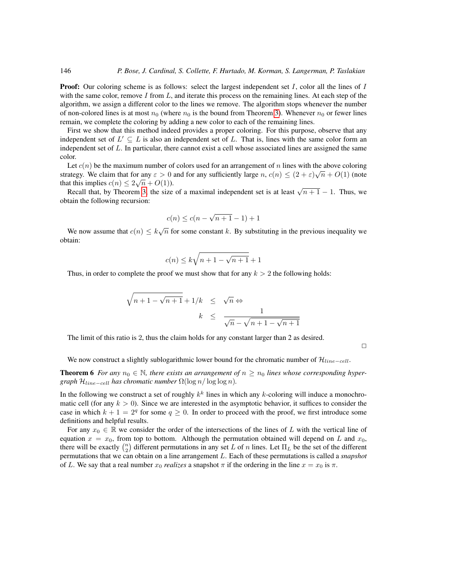**Proof:** Our coloring scheme is as follows: select the largest independent set  $I$ , color all the lines of  $I$ with the same color, remove  $I$  from  $L$ , and iterate this process on the remaining lines. At each step of the algorithm, we assign a different color to the lines we remove. The algorithm stops whenever the number of non-colored lines is at most  $n_0$  (where  $n_0$  is the bound from Theorem [3\)](#page-5-0). Whenever  $n_0$  or fewer lines remain, we complete the coloring by adding a new color to each of the remaining lines.

First we show that this method indeed provides a proper coloring. For this purpose, observe that any independent set of  $L' \subseteq L$  is also an independent set of L. That is, lines with the same color form an independent set of  $L$ . In particular, there cannot exist a cell whose associated lines are assigned the same color.

Let  $c(n)$  be the maximum number of colors used for an arrangement of n lines with the above coloring strategy. We claim that for any  $\varepsilon > 0$  and for any sufficiently large  $n, c(n) \le (2 + \varepsilon)\sqrt{n} + O(1)$  (note that this implies  $c(n) \leq 2\sqrt{n} + O(1)$ .

tt this implies  $c(n) \leq 2\sqrt{n} + O(1)$ .<br>Recall that, by Theorem [3,](#page-5-0) the size of a maximal independent set is at least  $\sqrt{n+1} - 1$ . Thus, we obtain the following recursion:

$$
c(n) \le c(n - \sqrt{n+1} - 1) + 1
$$

We now assume that  $c(n) \leq k\sqrt{n}$  for some constant k. By substituting in the previous inequality we obtain:

$$
c(n) \le k\sqrt{n+1-\sqrt{n+1}} + 1
$$

Thus, in order to complete the proof we must show that for any  $k > 2$  the following holds:

$$
\sqrt{n+1-\sqrt{n+1}} + 1/k \leq \sqrt{n} \Leftrightarrow
$$
  

$$
k \leq \frac{1}{\sqrt{n}-\sqrt{n+1-\sqrt{n+1}}}
$$

The limit of this ratio is 2, thus the claim holds for any constant larger than 2 as desired.

 $\Box$ 

We now construct a slightly sublogarithmic lower bound for the chromatic number of  $\mathcal{H}_{line-cell}$ .

<span id="page-7-0"></span>**Theorem 6** For any  $n_0 \in \mathbb{N}$ , there exists an arrangement of  $n \geq n_0$  lines whose corresponding hyper*graph*  $\mathcal{H}_{line-cell}$  *has chromatic number*  $\Omega(\log n / \log \log n)$ *.* 

In the following we construct a set of roughly  $k^k$  lines in which any k-coloring will induce a monochromatic cell (for any  $k > 0$ ). Since we are interested in the asymptotic behavior, it suffices to consider the case in which  $k + 1 = 2<sup>q</sup>$  for some  $q \ge 0$ . In order to proceed with the proof, we first introduce some definitions and helpful results.

For any  $x_0 \in \mathbb{R}$  we consider the order of the intersections of the lines of L with the vertical line of equation  $x = x_0$ , from top to bottom. Although the permutation obtained will depend on L and  $x_0$ , there will be exactly  $\binom{n}{2}$  different permutations in any set L of n lines. Let  $\Pi_L$  be the set of the different permutations that we can obtain on a line arrangement L. Each of these permutations is called a *snapshot* of L. We say that a real number  $x_0$  *realizes* a snapshot  $\pi$  if the ordering in the line  $x = x_0$  is  $\pi$ .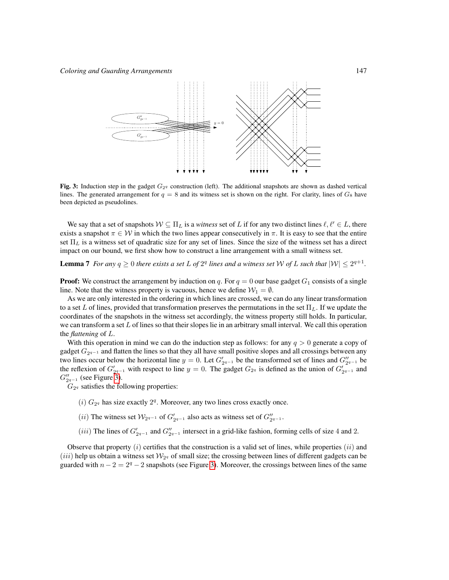

<span id="page-8-0"></span>Fig. 3: Induction step in the gadget  $G_{2q}$  construction (left). The additional snapshots are shown as dashed vertical lines. The generated arrangement for  $q = 8$  and its witness set is shown on the right. For clarity, lines of  $G_8$  have been depicted as pseudolines.

We say that a set of snapshots  $W \subseteq \Pi_L$  is a *witness* set of L if for any two distinct lines  $\ell, \ell' \in L$ , there exists a snapshot  $\pi \in \mathcal{W}$  in which the two lines appear consecutively in  $\pi$ . It is easy to see that the entire set  $\Pi_L$  is a witness set of quadratic size for any set of lines. Since the size of the witness set has a direct impact on our bound, we first show how to construct a line arrangement with a small witness set.

<span id="page-8-1"></span>**Lemma 7** For any  $q \ge 0$  there exists a set L of  $2^q$  lines and a witness set W of L such that  $|W| \le 2^{q+1}$ .

**Proof:** We construct the arrangement by induction on q. For  $q = 0$  our base gadget  $G_1$  consists of a single line. Note that the witness property is vacuous, hence we define  $W_1 = \emptyset$ .

As we are only interested in the ordering in which lines are crossed, we can do any linear transformation to a set L of lines, provided that transformation preserves the permutations in the set  $\Pi_L$ . If we update the coordinates of the snapshots in the witness set accordingly, the witness property still holds. In particular, we can transform a set  $L$  of lines so that their slopes lie in an arbitrary small interval. We call this operation the *flattening* of L.

With this operation in mind we can do the induction step as follows: for any  $q > 0$  generate a copy of gadget  $G_{2^{q-1}}$  and flatten the lines so that they all have small positive slopes and all crossings between any two lines occur below the horizontal line  $y = 0$ . Let  $G'_{2^{q-1}}$  be the transformed set of lines and  $G''_{2^{q-1}}$  be the reflexion of  $G'_{2^{q-1}}$  with respect to line  $y = 0$ . The gadget  $G_{2^q}$  is defined as the union of  $G'_{2^{q-1}}$  and  $G_{2q-1}''$  (see Figure [3\)](#page-8-0).

 $G_{2<sup>q</sup>}$  satisfies the following properties:

- $(i)$   $G_{2q}$  has size exactly  $2^q$ . Moreover, any two lines cross exactly once.
- (*ii*) The witness set  $\mathcal{W}_{2q-1}$  of  $G'_{2q-1}$  also acts as witness set of  $G''_{2q-1}$ .
- (*iii*) The lines of  $G'_{2q-1}$  and  $G''_{2q-1}$  intersect in a grid-like fashion, forming cells of size 4 and 2.

Observe that property  $(i)$  certifies that the construction is a valid set of lines, while properties  $(ii)$  and  $(iii)$  help us obtain a witness set  $\mathcal{W}_{29}$  of small size; the crossing between lines of different gadgets can be guarded with  $n - 2 = 2<sup>q</sup> - 2$  snapshots (see Figure [3\)](#page-8-0). Moreover, the crossings between lines of the same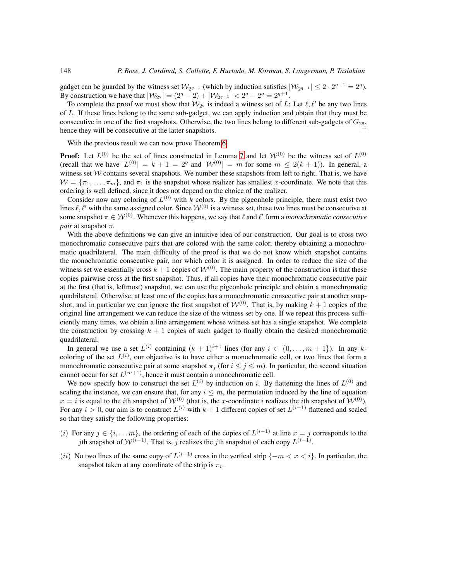gadget can be guarded by the witness set  $\mathcal{W}_{2q-1}$  (which by induction satisfies  $|\mathcal{W}_{2q-1}| \leq 2 \cdot 2^{q-1} = 2^q$ ). By construction we have that  $|\mathcal{W}_{2^q}| = (2^q - 2) + |\mathcal{W}_{2^{q-1}}| < 2^q + 2^q = 2^{q+1}$ .

To complete the proof we must show that  $W_{2^q}$  is indeed a witness set of L: Let  $\ell, \ell'$  be any two lines of L. If these lines belong to the same sub-gadget, we can apply induction and obtain that they must be consecutive in one of the first snapshots. Otherwise, the two lines belong to different sub-gadgets of  $G_{2^q}$ , hence they will be consecutive at the latter snapshots.  $\Box$ 

With the previous result we can now prove Theorem [6:](#page-7-0)

**Proof:** Let  $L^{(0)}$  be the set of lines constructed in Lemma [7](#page-8-1) and let  $W^{(0)}$  be the witness set of  $L^{(0)}$ (recall that we have  $|L^{(0)}| = k + 1 = 2^q$  and  $|W^{(0)}| = m$  for some  $m \leq 2(k + 1)$ ). In general, a witness set  $W$  contains several snapshots. We number these snapshots from left to right. That is, we have  $W = \{\pi_1, \ldots, \pi_m\}$ , and  $\pi_1$  is the snapshot whose realizer has smallest x-coordinate. We note that this ordering is well defined, since it does not depend on the choice of the realizer.

Consider now any coloring of  $L^{(0)}$  with k colors. By the pigeonhole principle, there must exist two lines  $\ell, \ell'$  with the same assigned color. Since  $\mathcal{W}^{(0)}$  is a witness set, these two lines must be consecutive at some snapshot  $\pi \in \mathcal{W}^{(0)}$ . Whenever this happens, we say that  $\ell$  and  $\ell'$  form a *monochromatic consecutive pair* at snapshot π.

With the above definitions we can give an intuitive idea of our construction. Our goal is to cross two monochromatic consecutive pairs that are colored with the same color, thereby obtaining a monochromatic quadrilateral. The main difficulty of the proof is that we do not know which snapshot contains the monochromatic consecutive pair, nor which color it is assigned. In order to reduce the size of the witness set we essentially cross  $k + 1$  copies of  $W^{(0)}$ . The main property of the construction is that these copies pairwise cross at the first snapshot. Thus, if all copies have their monochromatic consecutive pair at the first (that is, leftmost) snapshot, we can use the pigeonhole principle and obtain a monochromatic quadrilateral. Otherwise, at least one of the copies has a monochromatic consecutive pair at another snapshot, and in particular we can ignore the first snapshot of  $W^{(0)}$ . That is, by making  $k + 1$  copies of the original line arrangement we can reduce the size of the witness set by one. If we repeat this process sufficiently many times, we obtain a line arrangement whose witness set has a single snapshot. We complete the construction by crossing  $k + 1$  copies of such gadget to finally obtain the desired monochromatic quadrilateral.

In general we use a set  $L^{(i)}$  containing  $(k + 1)^{i+1}$  lines (for any  $i \in \{0, ..., m + 1\}$ ). In any kcoloring of the set  $L^{(i)}$ , our objective is to have either a monochromatic cell, or two lines that form a monochromatic consecutive pair at some snapshot  $\pi_j$  (for  $i \leq j \leq m$ ). In particular, the second situation cannot occur for set  $L^{(m+1)}$ , hence it must contain a monochromatic cell.

We now specify how to construct the set  $L^{(i)}$  by induction on i. By flattening the lines of  $L^{(0)}$  and scaling the instance, we can ensure that, for any  $i \leq m$ , the permutation induced by the line of equation  $x = i$  is equal to the *i*th snapshot of  $W^{(0)}$  (that is, the x-coordinate *i* realizes the *i*th snapshot of  $W^{(0)}$ ). For any  $i > 0$ , our aim is to construct  $L^{(i)}$  with  $k + 1$  different copies of set  $L^{(i-1)}$  flattened and scaled so that they satisfy the following properties:

- (i) For any  $j \in \{i, \dots m\}$ , the ordering of each of the copies of  $L^{(i-1)}$  at line  $x = j$  corresponds to the jth snapshot of  $\mathcal{W}^{(i-1)}$ . That is, j realizes the jth snapshot of each copy  $L^{(i-1)}$ .
- (ii) No two lines of the same copy of  $L^{(i-1)}$  cross in the vertical strip  $\{-m < x < i\}$ . In particular, the snapshot taken at any coordinate of the strip is  $\pi_i$ .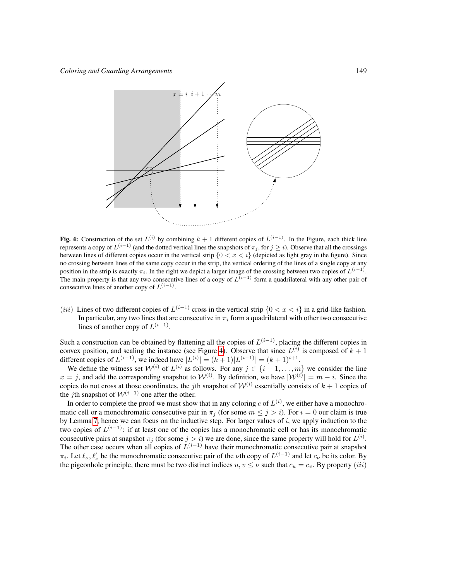

<span id="page-10-0"></span>**Fig. 4:** Construction of the set  $L^{(i)}$  by combining  $k + 1$  different copies of  $L^{(i-1)}$ . In the Figure, each thick line represents a copy of  $L^{(i-1)}$  (and the dotted vertical lines the snapshots of  $\pi_j,$  for  $j \geq i$ ). Observe that all the crossings between lines of different copies occur in the vertical strip  ${0 < x < i}$  (depicted as light gray in the figure). Since no crossing between lines of the same copy occur in the strip, the vertical ordering of the lines of a single copy at any position in the strip is exactly  $\pi_i$ . In the right we depict a larger image of the crossing between two copies of  $L^{(i-1)}$ . The main property is that any two consecutive lines of a copy of  $L^{(i-1)}$  form a quadrilateral with any other pair of consecutive lines of another copy of  $L^{(i-1)}$ .

(*iii*) Lines of two different copies of  $L^{(i-1)}$  cross in the vertical strip  $\{0 < x < i\}$  in a grid-like fashion. In particular, any two lines that are consecutive in  $\pi_i$  form a quadrilateral with other two consecutive lines of another copy of  $L^{(i-1)}$ .

Such a construction can be obtained by flattening all the copies of  $L^{(i-1)}$ , placing the different copies in convex position, and scaling the instance (see Figure [4\)](#page-10-0). Observe that since  $L^{(i)}$  is composed of  $k + 1$ different copies of  $L^{(i-1)}$ , we indeed have  $|L^{(i)}| = (k+1)|L^{(i-1)}| = (k+1)^{i+1}$ .

We define the witness set  $W^{(i)}$  of  $L^{(i)}$  as follows. For any  $j \in \{i+1,\ldots,m\}$  we consider the line  $x = j$ , and add the corresponding snapshot to  $\mathcal{W}^{(i)}$ . By definition, we have  $|\mathcal{W}^{(i)}| = m - i$ . Since the copies do not cross at those coordinates, the *j*th snapshot of  $W^{(i)}$  essentially consists of  $k + 1$  copies of the *j*th snapshot of  $W^{(i-1)}$  one after the other.

In order to complete the proof we must show that in any coloring c of  $L^{(i)}$ , we either have a monochromatic cell or a monochromatic consecutive pair in  $\pi_i$  (for some  $m \leq j > i$ ). For  $i = 0$  our claim is true by Lemma [7,](#page-8-1) hence we can focus on the inductive step. For larger values of  $i$ , we apply induction to the two copies of  $L^{(i-1)}$ : if at least one of the copies has a monochromatic cell or has its monochromatic consecutive pairs at snapshot  $\pi_j$  (for some  $j > i$ ) we are done, since the same property will hold for  $L^{(i)}$ . The other case occurs when all copies of  $L^{(i-1)}$  have their monochromatic consecutive pair at snapshot  $\pi_i$ . Let  $\ell_\nu, \ell'_\nu$  be the monochromatic consecutive pair of the  $\nu$ th copy of  $L^{(i-1)}$  and let  $c_\nu$  be its color. By the pigeonhole principle, there must be two distinct indices  $u, v \leq \nu$  such that  $c_u = c_v$ . By property (iii)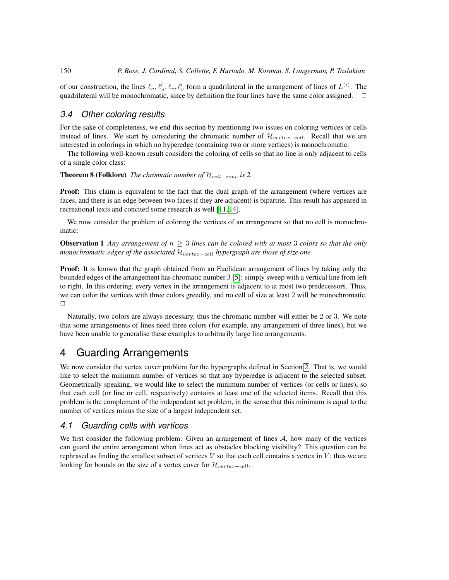of our construction, the lines  $\ell_u, \ell'_u, \ell_v, \ell'_v$  form a quadrilateral in the arrangement of lines of  $L^{(i)}$ . The quadrilateral will be monochromatic, since by definition the four lines have the same color assigned.  $\Box$ 

#### *3.4 Other coloring results*

For the sake of completeness, we end this section by mentioning two issues on coloring vertices or cells instead of lines. We start by considering the chromatic number of  $\mathcal{H}_{vertex-cell}$ . Recall that we are interested in colorings in which no hyperedge (containing two or more vertices) is monochromatic.

The following well-known result considers the coloring of cells so that no line is only adjacent to cells of a single color class:

<span id="page-11-3"></span>**Theorem 8 (Folklore)** *The chromatic number of*  $\mathcal{H}_{cell-zone}$  *is* 2.

**Proof:** This claim is equivalent to the fact that the dual graph of the arrangement (where vertices are faces, and there is an edge between two faces if they are adjacent) is bipartite. This result has appeared in recreational texts and concited some research as well  $[11, 14]$  $[11, 14]$ .

We now consider the problem of coloring the vertices of an arrangement so that no cell is monochromatic:

<span id="page-11-2"></span>Observation 1 *Any arrangement of* n ≥ 3 *lines can be colored with at most* 3 *colors so that the only monochromatic edges of the associated*  $\mathcal{H}_{vertex-cell}$  *hypergraph are those of size one.* 

Proof: It is known that the graph obtained from an Euclidean arrangement of lines by taking only the bounded edges of the arrangement has chromatic number 3 [\[5\]](#page-15-6): simply sweep with a vertical line from left to right. In this ordering, every vertex in the arrangement is adjacent to at most two predecessors. Thus, we can color the vertices with three colors greedily, and no cell of size at least 2 will be monochromatic.  $\Box$ 

Naturally, two colors are always necessary, thus the chromatic number will either be 2 or 3. We note that some arrangements of lines need three colors (for example, any arrangement of three lines), but we have been unable to generalise these examples to arbitrarily large line arrangements.

### <span id="page-11-0"></span>4 Guarding Arrangements

We now consider the vertex cover problem for the hypergraphs defined in Section [2.](#page-2-0) That is, we would like to select the minimum number of vertices so that any hyperedge is adjacent to the selected subset. Geometrically speaking, we would like to select the minimum number of vertices (or cells or lines), so that each cell (or line or cell, respectively) contains at least one of the selected items. Recall that this problem is the complement of the independent set problem, in the sense that this minimum is equal to the number of vertices minus the size of a largest independent set.

#### *4.1 Guarding cells with vertices*

<span id="page-11-1"></span>We first consider the following problem: Given an arrangement of lines  $A$ , how many of the vertices can guard the entire arrangement when lines act as obstacles blocking visibility? This question can be rephrased as finding the smallest subset of vertices  $V$  so that each cell contains a vertex in  $V$ ; thus we are looking for bounds on the size of a vertex cover for  $\mathcal{H}_{vertex-cell}$ .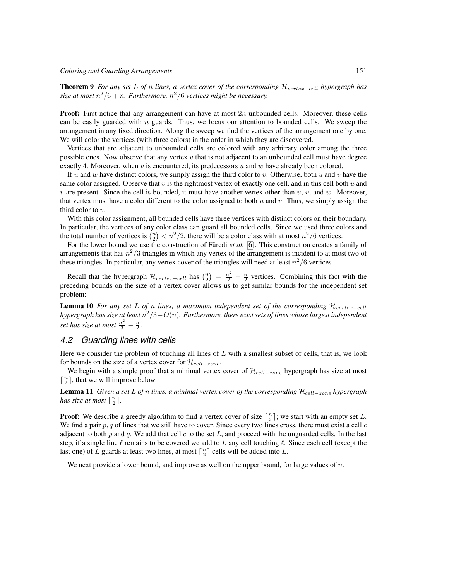Theorem 9 *For any set* L *of* n lines, a vertex cover of the corresponding  $\mathcal{H}_{vertex-cell}$  hypergraph has  $size$  at most  $n^2/6 + n$ . Furthermore,  $n^2/6$  vertices might be necessary.

**Proof:** First notice that any arrangement can have at most  $2n$  unbounded cells. Moreover, these cells can be easily guarded with  $n$  guards. Thus, we focus our attention to bounded cells. We sweep the arrangement in any fixed direction. Along the sweep we find the vertices of the arrangement one by one. We will color the vertices (with three colors) in the order in which they are discovered.

Vertices that are adjacent to unbounded cells are colored with any arbitrary color among the three possible ones. Now observe that any vertex  $v$  that is not adjacent to an unbounded cell must have degree exactly 4. Moreover, when v is encountered, its predecessors u and w have already been colored.

If u and w have distinct colors, we simply assign the third color to v. Otherwise, both u and v have the same color assigned. Observe that v is the rightmost vertex of exactly one cell, and in this cell both  $u$  and  $v$  are present. Since the cell is bounded, it must have another vertex other than  $u, v$ , and  $w$ . Moreover, that vertex must have a color different to the color assigned to both u and v. Thus, we simply assign the third color to  $v$ .

With this color assignment, all bounded cells have three vertices with distinct colors on their boundary. In particular, the vertices of any color class can guard all bounded cells. Since we used three colors and the total number of vertices is  $\binom{n}{2} < n^2/2$ , there will be a color class with at most  $n^2/6$  vertices.

For the lower bound we use the construction of Füredi *et al.* [\[6\]](#page-15-11). This construction creates a family of arrangements that has  $n^2/3$  triangles in which any vertex of the arrangement is incident to at most two of these triangles. In particular, any vertex cover of the triangles will need at least  $n^2/6$  vertices.

Recall that the hypergraph  $\mathcal{H}_{vertex-cell}$  has  $\binom{n}{2} = \frac{n^2}{2} - \frac{n}{2}$  vertices. Combining this fact with the preceding bounds on the size of a vertex cover allows us to get similar bounds for the independent set problem:

<span id="page-12-0"></span>Lemma 10 *For any set* L of *n* lines, a maximum independent set of the corresponding  $\mathcal{H}_{vertex-cell}$ *hypergraph has size at least* n <sup>2</sup>/3−O(n)*. Furthermore, there exist sets of lines whose largest independent* set has size at most  $\frac{n^2}{3} - \frac{n}{2}$ .

#### *4.2 Guarding lines with cells*

Here we consider the problem of touching all lines of  $L$  with a smallest subset of cells, that is, we look for bounds on the size of a vertex cover for  $\mathcal{H}_{cell-zone}$ .

<span id="page-12-2"></span>We begin with a simple proof that a minimal vertex cover of  $\mathcal{H}_{cell-zone}$  hypergraph has size at most  $\lceil \frac{n}{2} \rceil$ , that we will improve below.

Lemma 11 *Given a set* L *of* n *lines, a minimal vertex cover of the corresponding* Hcell−zone *hypergraph has size at most*  $\lceil \frac{n}{2} \rceil$ *.* 

**Proof:** We describe a greedy algorithm to find a vertex cover of size  $\lceil \frac{n}{2} \rceil$ ; we start with an empty set L. We find a pair  $p$ ,  $q$  of lines that we still have to cover. Since every two lines cross, there must exist a cell  $c$ adjacent to both  $p$  and  $q$ . We add that cell  $c$  to the set  $L$ , and proceed with the unguarded cells. In the last step, if a single line  $\ell$  remains to be covered we add to L any cell touching  $\ell$ . Since each cell (except the last one) of L guards at least two lines, at most  $\lceil \frac{n}{2} \rceil$  cells will be added into L.

<span id="page-12-1"></span>We next provide a lower bound, and improve as well on the upper bound, for large values of  $n$ .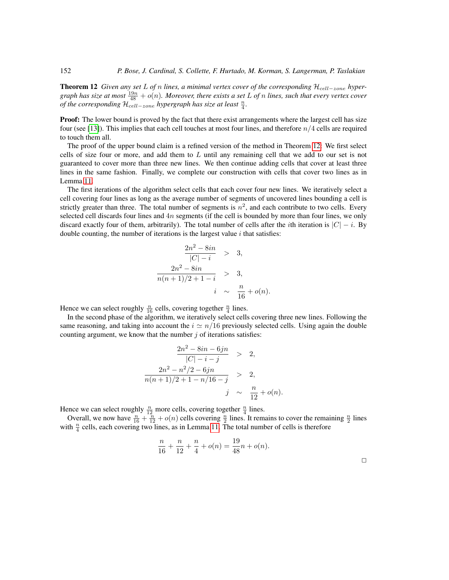Theorem 12 *Given any set* L of *n* lines, a minimal vertex cover of the corresponding H<sub>cell−zone</sub> hypergraph has size at most  $\frac{19n}{48} + o(n)$ . Moreover, there exists a set L of n lines, such that every vertex cover *of the corresponding*  $\mathcal{H}_{cell-zone}$  *hypergraph has size at least*  $\frac{n}{4}$ *.* 

**Proof:** The lower bound is proved by the fact that there exist arrangements where the largest cell has size four (see [\[13\]](#page-15-12)). This implies that each cell touches at most four lines, and therefore  $n/4$  cells are required to touch them all.

The proof of the upper bound claim is a refined version of the method in Theorem [12:](#page-12-1) We first select cells of size four or more, and add them to  $L$  until any remaining cell that we add to our set is not guaranteed to cover more than three new lines. We then continue adding cells that cover at least three lines in the same fashion. Finally, we complete our construction with cells that cover two lines as in Lemma [11.](#page-12-2)

The first iterations of the algorithm select cells that each cover four new lines. We iteratively select a cell covering four lines as long as the average number of segments of uncovered lines bounding a cell is strictly greater than three. The total number of segments is  $n^2$ , and each contribute to two cells. Every selected cell discards four lines and  $4n$  segments (if the cell is bounded by more than four lines, we only discard exactly four of them, arbitrarily). The total number of cells after the *i*th iteration is  $|C| - i$ . By double counting, the number of iterations is the largest value  $i$  that satisfies:

$$
\frac{2n^2 - 8in}{|C| - i} > 3,
$$
  

$$
\frac{2n^2 - 8in}{n(n+1)/2 + 1 - i} > 3,
$$
  

$$
i \sim \frac{n}{16} + o(n).
$$

Hence we can select roughly  $\frac{n}{16}$  cells, covering together  $\frac{n}{4}$  lines.

In the second phase of the algorithm, we iteratively select cells covering three new lines. Following the same reasoning, and taking into account the  $i \approx n/16$  previously selected cells. Using again the double counting argument, we know that the number  $j$  of iterations satisfies:

$$
\frac{2n^2 - 8in - 6jn}{|C| - i - j} > 2,
$$
  

$$
\frac{2n^2 - n^2/2 - 6jn}{n(n+1)/2 + 1 - n/16 - j} > 2,
$$
  

$$
j \sim \frac{n}{12} + o(n).
$$

Hence we can select roughly  $\frac{n}{12}$  more cells, covering together  $\frac{n}{4}$  lines.

<span id="page-13-0"></span>Overall, we now have  $\frac{n}{16} + \frac{n}{12} + o(n)$  cells covering  $\frac{n}{2}$  lines. It remains to cover the remaining  $\frac{n}{2}$  lines with  $\frac{n}{4}$  cells, each covering two lines, as in Lemma [11.](#page-12-2) The total number of cells is therefore

$$
\frac{n}{16} + \frac{n}{12} + \frac{n}{4} + o(n) = \frac{19}{48}n + o(n).
$$

 $\Box$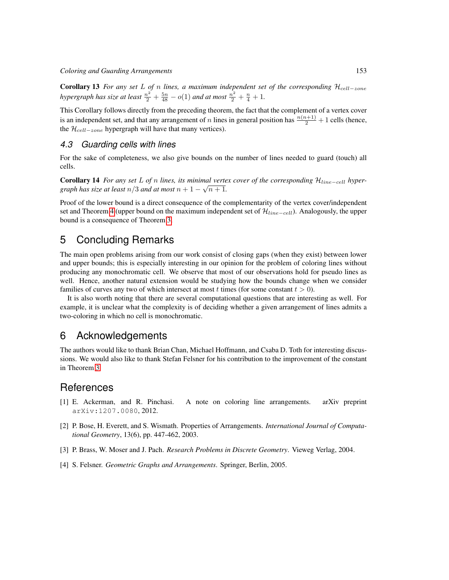Corollary 13 *For any set* L of *n* lines, a maximum independent set of the corresponding  $\mathcal{H}_{cell-zone}$ hypergraph has size at least  $\frac{n^2}{2} + \frac{5n}{48} - o(1)$  and at most  $\frac{n^2}{2} + \frac{n}{4} + 1$ .

This Corollary follows directly from the preceding theorem, the fact that the complement of a vertex cover is an independent set, and that any arrangement of n lines in general position has  $\frac{n(n+1)}{2} + 1$  cells (hence, the  $\mathcal{H}_{cell-zone}$  hypergraph will have that many vertices).

#### *4.3 Guarding cells with lines*

For the sake of completeness, we also give bounds on the number of lines needed to guard (touch) all cells.

<span id="page-14-3"></span>Corollary 14 *For any set* L *of* n *lines, its minimal vertex cover of the corresponding* Hline−cell *hyper-*√ *graph has size at least*  $n/3$  *and at most*  $n+1-\sqrt{n+1}$ *.* 

Proof of the lower bound is a direct consequence of the complementarity of the vertex cover/independent set and Theorem [4](#page-6-0) (upper bound on the maximum independent set of  $\mathcal{H}_{line-cell}$ ). Analogously, the upper bound is a consequence of Theorem [3.](#page-5-0)

## 5 Concluding Remarks

The main open problems arising from our work consist of closing gaps (when they exist) between lower and upper bounds; this is especially interesting in our opinion for the problem of coloring lines without producing any monochromatic cell. We observe that most of our observations hold for pseudo lines as well. Hence, another natural extension would be studying how the bounds change when we consider families of curves any two of which intersect at most t times (for some constant  $t > 0$ ).

It is also worth noting that there are several computational questions that are interesting as well. For example, it is unclear what the complexity is of deciding whether a given arrangement of lines admits a two-coloring in which no cell is monochromatic.

### 6 Acknowledgements

The authors would like to thank Brian Chan, Michael Hoffmann, and Csaba D. Toth for interesting discussions. We would also like to thank Stefan Felsner for his contribution to the improvement of the constant in Theorem [3.](#page-5-0)

### References

- <span id="page-14-4"></span>[1] E. Ackerman, and R. Pinchasi. A note on coloring line arrangements. arXiv preprint arXiv:1207.0080, 2012.
- <span id="page-14-2"></span>[2] P. Bose, H. Everett, and S. Wismath. Properties of Arrangements. *International Journal of Computational Geometry*, 13(6), pp. 447-462, 2003.
- <span id="page-14-0"></span>[3] P. Brass, W. Moser and J. Pach. *Research Problems in Discrete Geometry*. Vieweg Verlag, 2004.
- <span id="page-14-1"></span>[4] S. Felsner. *Geometric Graphs and Arrangements*. Springer, Berlin, 2005.